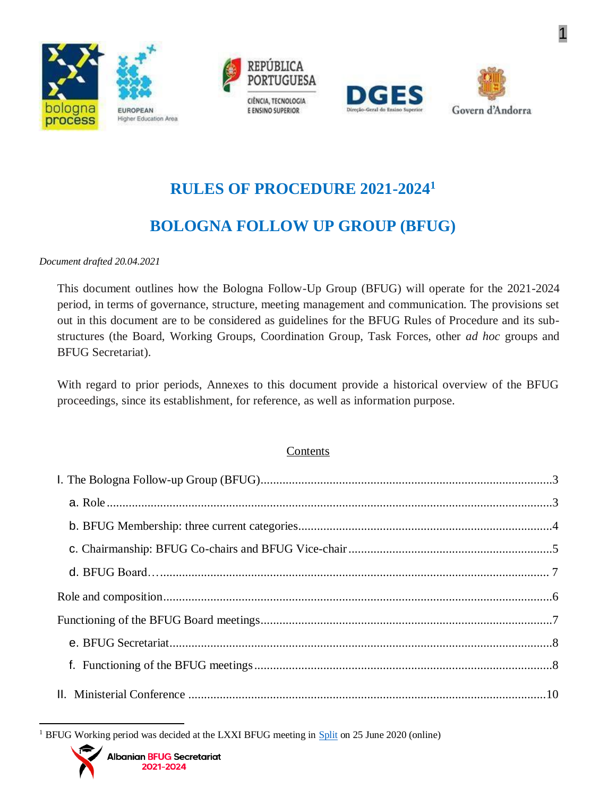







# **RULES OF PROCEDURE 2021-2024<sup>1</sup>**

# **BOLOGNA FOLLOW UP GROUP (BFUG)**

#### *Document drafted 20.04.2021*

This document outlines how the Bologna Follow-Up Group (BFUG) will operate for the 2021-2024 period, in terms of governance, structure, meeting management and communication. The provisions set out in this document are to be considered as guidelines for the BFUG Rules of Procedure and its substructures (the Board, Working Groups, Coordination Group, Task Forces, other *ad hoc* groups and BFUG Secretariat).

With regard to prior periods, Annexes to this document provide a historical overview of the BFUG proceedings, since its establishment, for reference, as well as information purpose.

#### Contents

<sup>&</sup>lt;sup>1</sup> BFUG Working period was decided at the LXXI BFUG meeting in [Split](https://ehea.info/Upload/BFUG_HR_UA_71_Minutes.pdf) on 25 June 2020 (online)

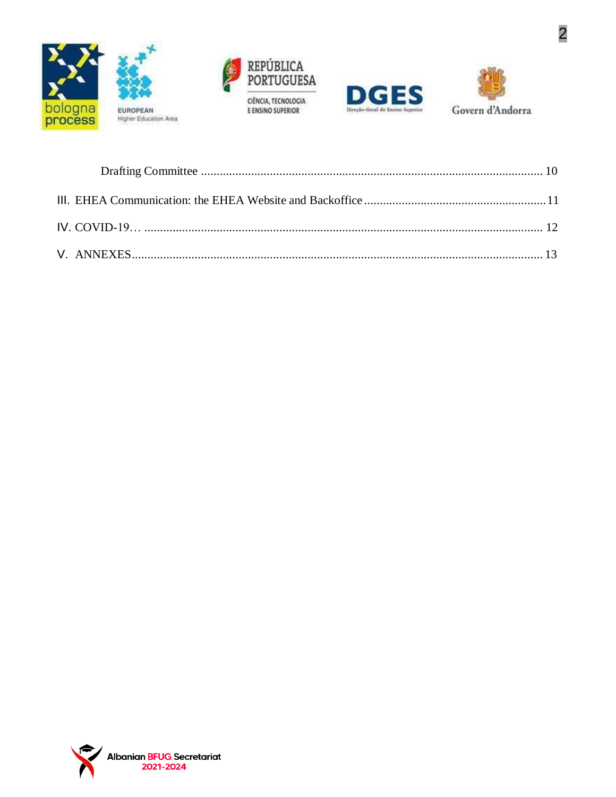







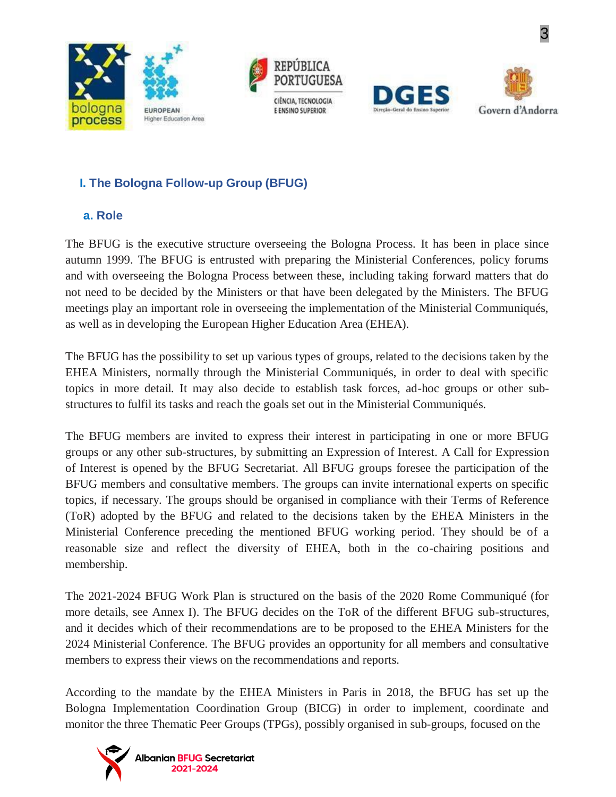







# <span id="page-2-0"></span>**I. The Bologna Follow-up Group (BFUG)**

#### **a. Role**

<span id="page-2-1"></span>The BFUG is the executive structure overseeing the Bologna Process. It has been in place since autumn 1999. The BFUG is entrusted with preparing the Ministerial Conferences, policy forums and with overseeing the Bologna Process between these, including taking forward matters that do not need to be decided by the Ministers or that have been delegated by the Ministers. The BFUG meetings play an important role in overseeing the implementation of the Ministerial Communiqués, as well as in developing the European Higher Education Area (EHEA).

The BFUG has the possibility to set up various types of groups, related to the decisions taken by the EHEA Ministers, normally through the Ministerial Communiqués, in order to deal with specific topics in more detail. It may also decide to establish task forces, ad-hoc groups or other substructures to fulfil its tasks and reach the goals set out in the Ministerial Communiqués.

The BFUG members are invited to express their interest in participating in one or more BFUG groups or any other sub-structures, by submitting an Expression of Interest. A Call for Expression of Interest is opened by the BFUG Secretariat. All BFUG groups foresee the participation of the BFUG members and consultative members. The groups can invite international experts on specific topics, if necessary. The groups should be organised in compliance with their Terms of Reference (ToR) adopted by the BFUG and related to the decisions taken by the EHEA Ministers in the Ministerial Conference preceding the mentioned BFUG working period. They should be of a reasonable size and reflect the diversity of EHEA, both in the co-chairing positions and membership.

The 2021-2024 BFUG Work Plan is structured on the basis of the 2020 Rome Communiqué (for more details, see Annex I). The BFUG decides on the ToR of the different BFUG sub-structures, and it decides which of their recommendations are to be proposed to the EHEA Ministers for the 2024 Ministerial Conference. The BFUG provides an opportunity for all members and consultative members to express their views on the recommendations and reports.

According to the mandate by the EHEA Ministers in Paris in 2018, the BFUG has set up the Bologna Implementation Coordination Group (BICG) in order to implement, coordinate and monitor the three Thematic Peer Groups (TPGs), possibly organised in sub-groups, focused on the

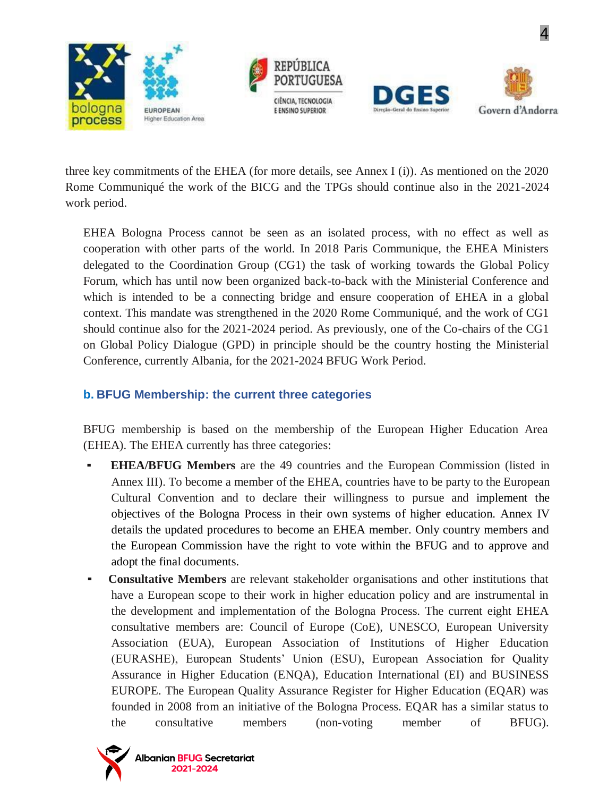







three key commitments of the EHEA (for more details, see Annex I (i)). As mentioned on the 2020 Rome Communiqué the work of the BICG and the TPGs should continue also in the 2021-2024 work period.

EHEA Bologna Process cannot be seen as an isolated process, with no effect as well as cooperation with other parts of the world. In 2018 Paris Communique, the EHEA Ministers delegated to the Coordination Group (CG1) the task of working towards the Global Policy Forum, which has until now been organized back-to-back with the Ministerial Conference and which is intended to be a connecting bridge and ensure cooperation of EHEA in a global context. This mandate was strengthened in the 2020 Rome Communiqué, and the work of CG1 should continue also for the 2021-2024 period. As previously, one of the Co-chairs of the CG1 on Global Policy Dialogue (GPD) in principle should be the country hosting the Ministerial Conference, currently Albania, for the 2021-2024 BFUG Work Period.

#### **b. BFUG Membership: the current three categories**

BFUG membership is based on the membership of the European Higher Education Area (EHEA). The EHEA currently has three categories:

- **EHEA/BFUG Members** are the 49 countries and the European Commission (listed in Annex III). To become a member of the EHEA, countries have to be party to the European Cultural Convention and to declare their willingness to pursue and implement the objectives of the Bologna Process in their own systems of higher education. Annex IV details the updated procedures to become an EHEA member. Only country members and the European Commission have the right to vote within the BFUG and to approve and adopt the final documents.
- **Consultative Members** are relevant stakeholder organisations and other institutions that have a European scope to their work in higher education policy and are instrumental in the development and implementation of the Bologna Process. The current eight EHEA consultative members are: Council of Europe (CoE), UNESCO, European University Association (EUA), European Association of Institutions of Higher Education (EURASHE), European Students' Union (ESU), European Association for Quality Assurance in Higher Education (ENQA), Education International (EI) and BUSINESS EUROPE. The European Quality Assurance Register for Higher Education (EQAR) was founded in 2008 from an initiative of the Bologna Process. EQAR has a similar status to the consultative members (non-voting member of BFUG).

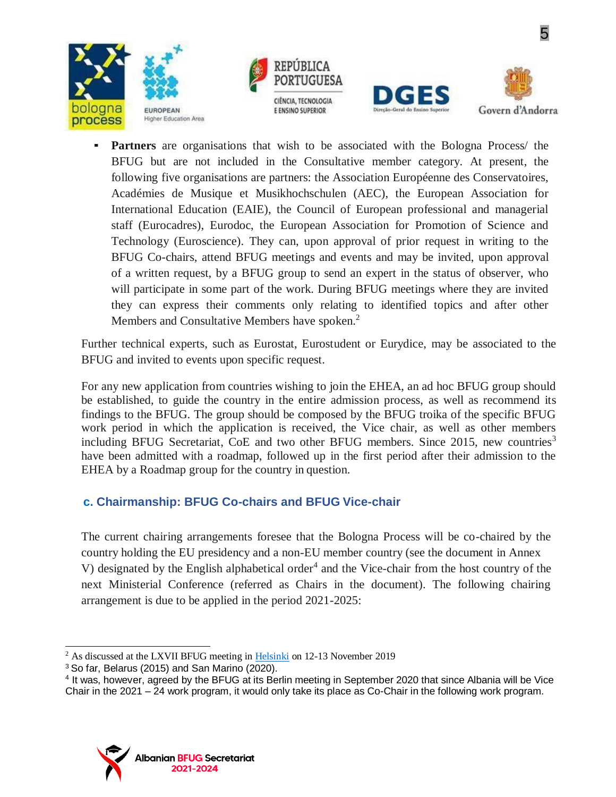







**Partners** are organisations that wish to be associated with the Bologna Process/ the BFUG but are not included in the Consultative member category. At present, the following five organisations are partners: the Association Européenne des Conservatoires, Académies de Musique et Musikhochschulen (AEC), the European Association for International Education (EAIE), the Council of European professional and managerial staff (Eurocadres), Eurodoc, the European Association for Promotion of Science and Technology (Euroscience). They can, upon approval of prior request in writing to the BFUG Co-chairs, attend BFUG meetings and events and may be invited, upon approval of a written request, by a BFUG group to send an expert in the status of observer, who will participate in some part of the work. During BFUG meetings where they are invited they can express their comments only relating to identified topics and after other Members and Consultative Members have spoken.<sup>2</sup>

Further technical experts, such as Eurostat, Eurostudent or Eurydice, may be associated to the BFUG and invited to events upon specific request.

For any new application from countries wishing to join the EHEA, an ad hoc BFUG group should be established, to guide the country in the entire admission process, as well as recommend its findings to the BFUG. The group should be composed by the BFUG troika of the specific BFUG work period in which the application is received, the Vice chair, as well as other members including BFUG Secretariat, CoE and two other BFUG members. Since 2015, new countries<sup>3</sup> have been admitted with a roadmap, followed up in the first period after their admission to the EHEA by a Roadmap group for the country in question.

## <span id="page-4-0"></span>**c. Chairmanship: BFUG Co-chairs and BFUG Vice-chair**

The current chairing arrangements foresee that the Bologna Process will be co-chaired by the country holding the EU presidency and a non-EU member country (see the document in Annex V) designated by the English alphabetical order<sup>4</sup> and the Vice-chair from the host country of the next Ministerial Conference (referred as Chairs in the document). The following chairing arrangement is due to be applied in the period 2021-2025:



<sup>&</sup>lt;sup>2</sup> As discussed at the LXVII BFUG meeting in [Helsinki](https://ehea.info/Upload/BFUG_FI_TK_67_Minutes.pdf) on 12-13 November 2019

<sup>3</sup>So far, Belarus (2015) and San Marino (2020).

<sup>&</sup>lt;sup>4</sup> It was, however, agreed by the BFUG at its Berlin meeting in September 2020 that since Albania will be Vice Chair in the 2021 – 24 work program, it would only take its place as Co-Chair in the following work program.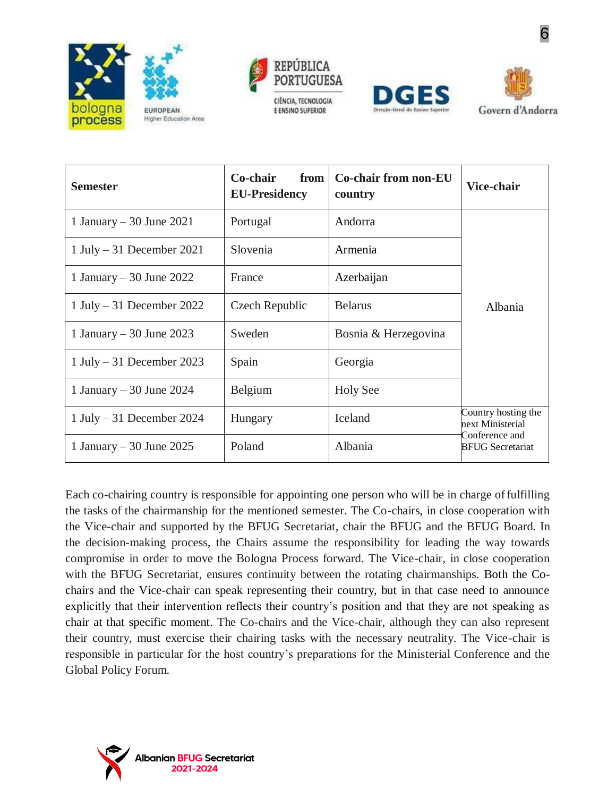







| <b>Semester</b>           | Co-chair<br>from<br><b>EU-Presidency</b> | <b>Co-chair from non-EU</b><br>country | Vice-chair                                                                                      |
|---------------------------|------------------------------------------|----------------------------------------|-------------------------------------------------------------------------------------------------|
| 1 January – 30 June 2021  | Portugal                                 | Andorra                                | Albania<br>Country hosting the<br>next Ministerial<br>Conference and<br><b>BFUG</b> Secretariat |
| 1 July – 31 December 2021 | Slovenia                                 | Armenia                                |                                                                                                 |
| 1 January – 30 June 2022  | France                                   | Azerbaijan                             |                                                                                                 |
| 1 July – 31 December 2022 | Czech Republic                           | <b>Belarus</b>                         |                                                                                                 |
| 1 January – 30 June 2023  | Sweden                                   | Bosnia & Herzegovina                   |                                                                                                 |
| 1 July – 31 December 2023 | Spain                                    | Georgia                                |                                                                                                 |
| 1 January – 30 June 2024  | Belgium                                  | <b>Holy See</b>                        |                                                                                                 |
| 1 July – 31 December 2024 | Hungary                                  | Iceland                                |                                                                                                 |
| 1 January – 30 June 2025  | Poland                                   | Albania                                |                                                                                                 |

Each co-chairing country is responsible for appointing one person who will be in charge offulfilling the tasks of the chairmanship for the mentioned semester. The Co-chairs, in close cooperation with the Vice-chair and supported by the BFUG Secretariat, chair the BFUG and the BFUG Board. In the decision-making process, the Chairs assume the responsibility for leading the way towards compromise in order to move the Bologna Process forward. The Vice-chair, in close cooperation with the BFUG Secretariat, ensures continuity between the rotating chairmanships. Both the Cochairs and the Vice-chair can speak representing their country, but in that case need to announce explicitly that their intervention reflects their country's position and that they are not speaking as chair at that specific moment. The Co-chairs and the Vice-chair, although they can also represent their country, must exercise their chairing tasks with the necessary neutrality. The Vice-chair is responsible in particular for the host country's preparations for the Ministerial Conference and the Global Policy Forum.

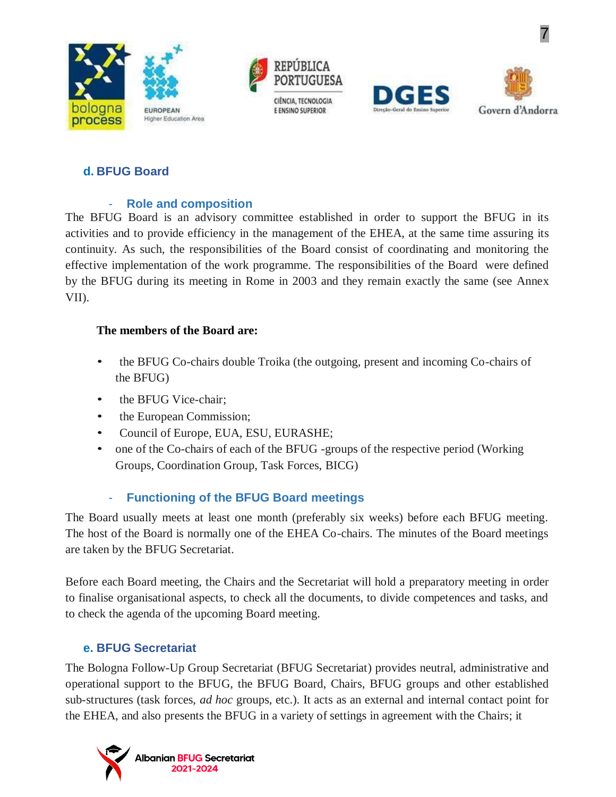







### <span id="page-6-0"></span>**d. BFUG Board**

#### - **Role and composition**

<span id="page-6-1"></span>The BFUG Board is an advisory committee established in order to support the BFUG in its activities and to provide efficiency in the management of the EHEA, at the same time assuring its continuity. As such, the responsibilities of the Board consist of coordinating and monitoring the effective implementation of the work programme. The responsibilities of the Board were defined by the BFUG during its meeting in Rome in 2003 and they remain exactly the same (see Annex VII).

#### **The members of the Board are:**

- the BFUG Co-chairs double Troika (the outgoing, present and incoming Co-chairs of the BFUG)
- the BFUG Vice-chair:
- the European Commission;
- Council of Europe, EUA, ESU, EURASHE;
- one of the Co-chairs of each of the BFUG -groups of the respective period (Working Groups, Coordination Group, Task Forces, BICG)

## - **Functioning of the BFUG Board meetings**

<span id="page-6-2"></span>The Board usually meets at least one month (preferably six weeks) before each BFUG meeting. The host of the Board is normally one of the EHEA Co-chairs. The minutes of the Board meetings are taken by the BFUG Secretariat.

Before each Board meeting, the Chairs and the Secretariat will hold a preparatory meeting in order to finalise organisational aspects, to check all the documents, to divide competences and tasks, and to check the agenda of the upcoming Board meeting.

#### **e. BFUG Secretariat**

<span id="page-6-3"></span>The Bologna Follow-Up Group Secretariat (BFUG Secretariat) provides neutral, administrative and operational support to the BFUG, the BFUG Board, Chairs, BFUG groups and other established sub-structures (task forces, *ad hoc* groups, etc.). It acts as an external and internal contact point for the EHEA, and also presents the BFUG in a variety of settings in agreement with the Chairs; it

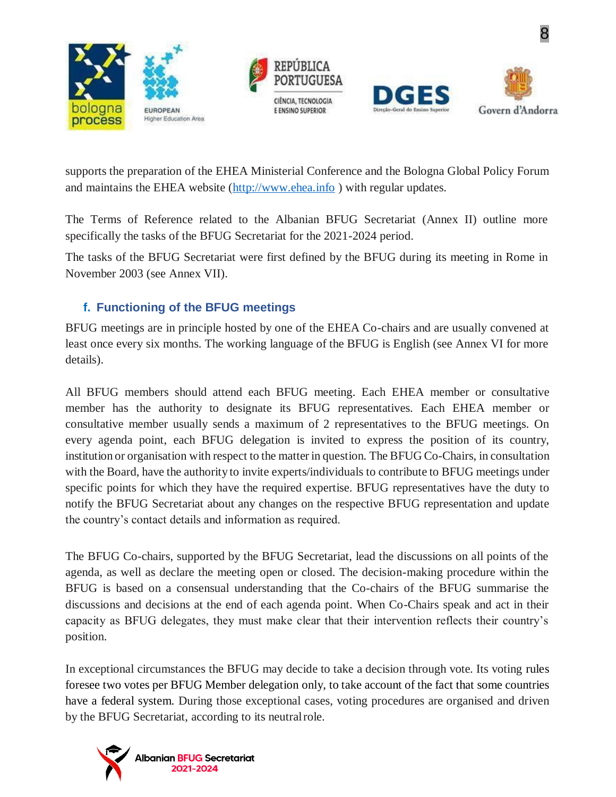







supports the preparation of the EHEA Ministerial Conference and the Bologna Global Policy Forum and maintains the EHEA website [\(http://www.ehea.info](http://www.ehea.info/)) with regular updates.

The Terms of Reference related to the Albanian BFUG Secretariat (Annex II) outline more specifically the tasks of the BFUG Secretariat for the 2021-2024 period.

The tasks of the BFUG Secretariat were first defined by the BFUG during its meeting in Rome in November 2003 (see Annex VII).

## **f. Functioning of the BFUG meetings**

<span id="page-7-0"></span>BFUG meetings are in principle hosted by one of the EHEA Co-chairs and are usually convened at least once every six months. The working language of the BFUG is English (see Annex VI for more details).

All BFUG members should attend each BFUG meeting. Each EHEA member or consultative member has the authority to designate its BFUG representatives. Each EHEA member or consultative member usually sends a maximum of 2 representatives to the BFUG meetings. On every agenda point, each BFUG delegation is invited to express the position of its country, institution or organisation with respect to the matter in question. The BFUG Co-Chairs, in consultation with the Board, have the authority to invite experts/individuals to contribute to BFUG meetings under specific points for which they have the required expertise. BFUG representatives have the duty to notify the BFUG Secretariat about any changes on the respective BFUG representation and update the country's contact details and information as required.

The BFUG Co-chairs, supported by the BFUG Secretariat, lead the discussions on all points of the agenda, as well as declare the meeting open or closed. The decision-making procedure within the BFUG is based on a consensual understanding that the Co-chairs of the BFUG summarise the discussions and decisions at the end of each agenda point. When Co-Chairs speak and act in their capacity as BFUG delegates, they must make clear that their intervention reflects their country's position.

In exceptional circumstances the BFUG may decide to take a decision through vote. Its voting rules foresee two votes per BFUG Member delegation only, to take account of the fact that some countries have a federal system. During those exceptional cases, voting procedures are organised and driven by the BFUG Secretariat, according to its neutralrole.

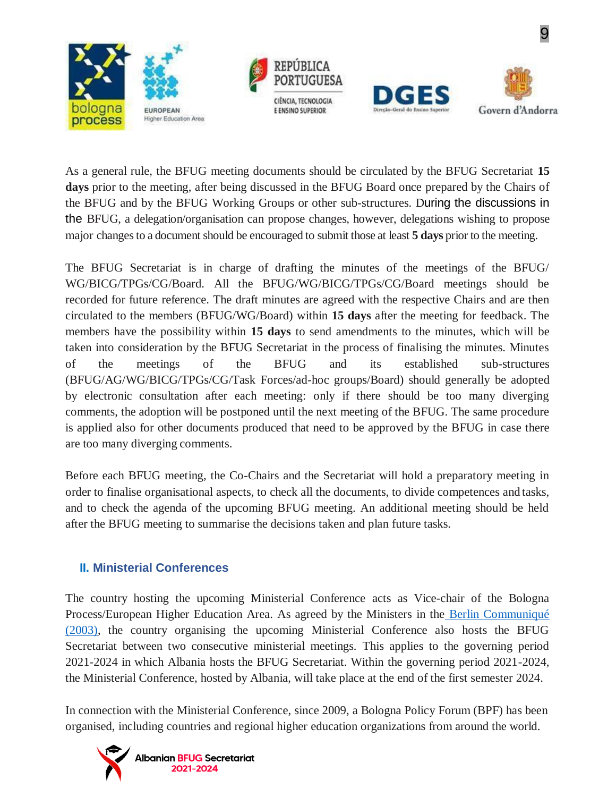







As a general rule, the BFUG meeting documents should be circulated by the BFUG Secretariat **15 days** prior to the meeting, after being discussed in the BFUG Board once prepared by the Chairs of the BFUG and by the BFUG Working Groups or other sub-structures. During the discussions in the BFUG, a delegation/organisation can propose changes, however, delegations wishing to propose major changesto a document should be encouraged to submit those at least **5 days** prior to the meeting.

The BFUG Secretariat is in charge of drafting the minutes of the meetings of the BFUG/ WG/BICG/TPGs/CG/Board. All the BFUG/WG/BICG/TPGs/CG/Board meetings should be recorded for future reference. The draft minutes are agreed with the respective Chairs and are then circulated to the members (BFUG/WG/Board) within **15 days** after the meeting for feedback. The members have the possibility within **15 days** to send amendments to the minutes, which will be taken into consideration by the BFUG Secretariat in the process of finalising the minutes. Minutes of the meetings of the BFUG and its established sub-structures (BFUG/AG/WG/BICG/TPGs/CG/Task Forces/ad-hoc groups/Board) should generally be adopted by electronic consultation after each meeting: only if there should be too many diverging comments, the adoption will be postponed until the next meeting of the BFUG. The same procedure is applied also for other documents produced that need to be approved by the BFUG in case there are too many diverging comments.

Before each BFUG meeting, the Co-Chairs and the Secretariat will hold a preparatory meeting in order to finalise organisational aspects, to check all the documents, to divide competences and tasks, and to check the agenda of the upcoming BFUG meeting. An additional meeting should be held after the BFUG meeting to summarise the decisions taken and plan future tasks.

#### **II. Ministerial Conferences**

The country hosting the upcoming Ministerial Conference acts as Vice-chair of the Bologna Process/European Higher Education Area. As agreed by the Ministers in the [Berlin Communiqué](http://www.ehea.info/media.ehea.info/file/2003_Berlin/28/4/2003_Berlin_Communique_English_577284.pdf) [\(2003\),](http://www.ehea.info/media.ehea.info/file/2003_Berlin/28/4/2003_Berlin_Communique_English_577284.pdf) the country organising the upcoming Ministerial Conference also hosts the BFUG Secretariat between two consecutive ministerial meetings. This applies to the governing period 2021-2024 in which Albania hosts the BFUG Secretariat. Within the governing period 2021-2024, the Ministerial Conference, hosted by Albania, will take place at the end of the first semester 2024.

In connection with the Ministerial Conference, since 2009, a Bologna Policy Forum (BPF) has been organised, including countries and regional higher education organizations from around the world.

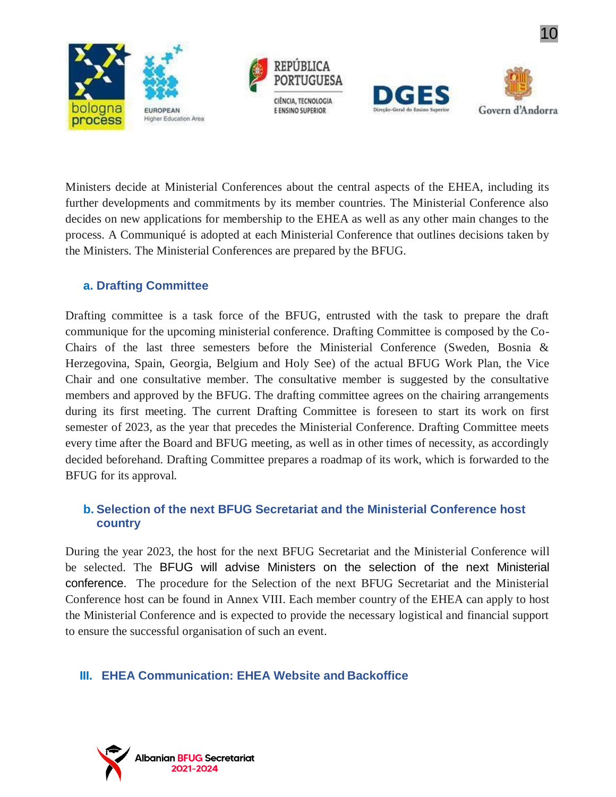







Ministers decide at Ministerial Conferences about the central aspects of the EHEA, including its further developments and commitments by its member countries. The Ministerial Conference also decides on new applications for membership to the EHEA as well as any other main changes to the process. A Communiqué is adopted at each Ministerial Conference that outlines decisions taken by the Ministers. The Ministerial Conferences are prepared by the BFUG.

### **a. Drafting Committee**

Drafting committee is a task force of the BFUG, entrusted with the task to prepare the draft communique for the upcoming ministerial conference. Drafting Committee is composed by the Co-Chairs of the last three semesters before the Ministerial Conference (Sweden, Bosnia & Herzegovina, Spain, Georgia, Belgium and Holy See) of the actual BFUG Work Plan, the Vice Chair and one consultative member. The consultative member is suggested by the consultative members and approved by the BFUG. The drafting committee agrees on the chairing arrangements during its first meeting. The current Drafting Committee is foreseen to start its work on first semester of 2023, as the year that precedes the Ministerial Conference. Drafting Committee meets every time after the Board and BFUG meeting, as well as in other times of necessity, as accordingly decided beforehand. Drafting Committee prepares a roadmap of its work, which is forwarded to the BFUG for its approval.

### **b. Selection of the next BFUG Secretariat and the Ministerial Conference host country**

During the year 2023, the host for the next BFUG Secretariat and the Ministerial Conference will be selected. The BFUG will advise Ministers on the selection of the next Ministerial conference. The procedure for the Selection of the next BFUG Secretariat and the Ministerial Conference host can be found in Annex VIII. Each member country of the EHEA can apply to host the Ministerial Conference and is expected to provide the necessary logistical and financial support to ensure the successful organisation of such an event.

## **III. EHEA Communication: EHEA Website and Backoffice**

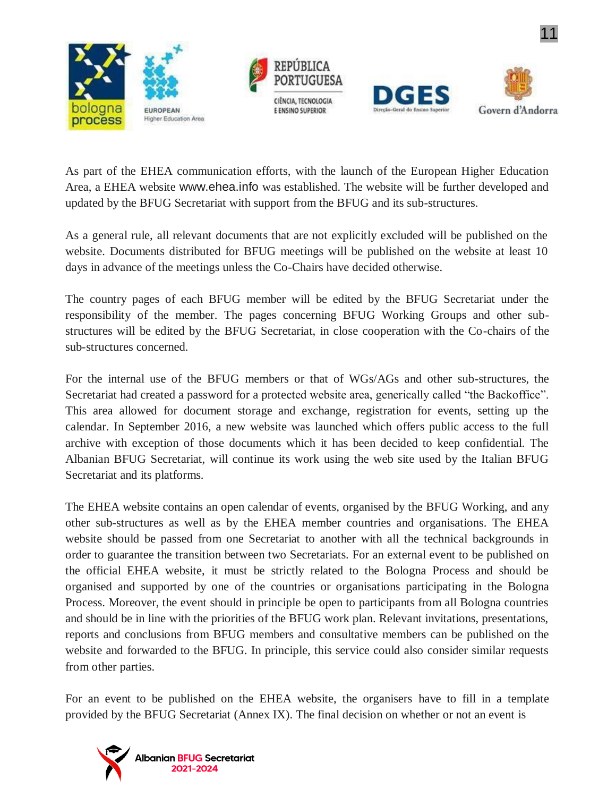







As part of the EHEA communication efforts, with the launch of the European Higher Education Area, a EHEA website [www.ehea.info](http://www.ehea.info/) was established. The website will be further developed and updated by the BFUG Secretariat with support from the BFUG and its sub-structures.

As a general rule, all relevant documents that are not explicitly excluded will be published on the website. Documents distributed for BFUG meetings will be published on the website at least 10 days in advance of the meetings unless the Co-Chairs have decided otherwise.

The country pages of each BFUG member will be edited by the BFUG Secretariat under the responsibility of the member. The pages concerning BFUG Working Groups and other substructures will be edited by the BFUG Secretariat, in close cooperation with the Co-chairs of the sub-structures concerned.

For the internal use of the BFUG members or that of WGs/AGs and other sub-structures, the Secretariat had created a password for a protected website area, generically called "the Backoffice". This area allowed for document storage and exchange, registration for events, setting up the calendar. In September 2016, a new website was launched which offers public access to the full archive with exception of those documents which it has been decided to keep confidential. The Albanian BFUG Secretariat, will continue its work using the web site used by the Italian BFUG Secretariat and its platforms.

The EHEA website contains an open calendar of events, organised by the BFUG Working, and any other sub-structures as well as by the EHEA member countries and organisations. The EHEA website should be passed from one Secretariat to another with all the technical backgrounds in order to guarantee the transition between two Secretariats. For an external event to be published on the official EHEA website, it must be strictly related to the Bologna Process and should be organised and supported by one of the countries or organisations participating in the Bologna Process. Moreover, the event should in principle be open to participants from all Bologna countries and should be in line with the priorities of the BFUG work plan. Relevant invitations, presentations, reports and conclusions from BFUG members and consultative members can be published on the website and forwarded to the BFUG. In principle, this service could also consider similar requests from other parties.

For an event to be published on the EHEA website, the organisers have to fill in a template provided by the BFUG Secretariat (Annex IX). The final decision on whether or not an event is

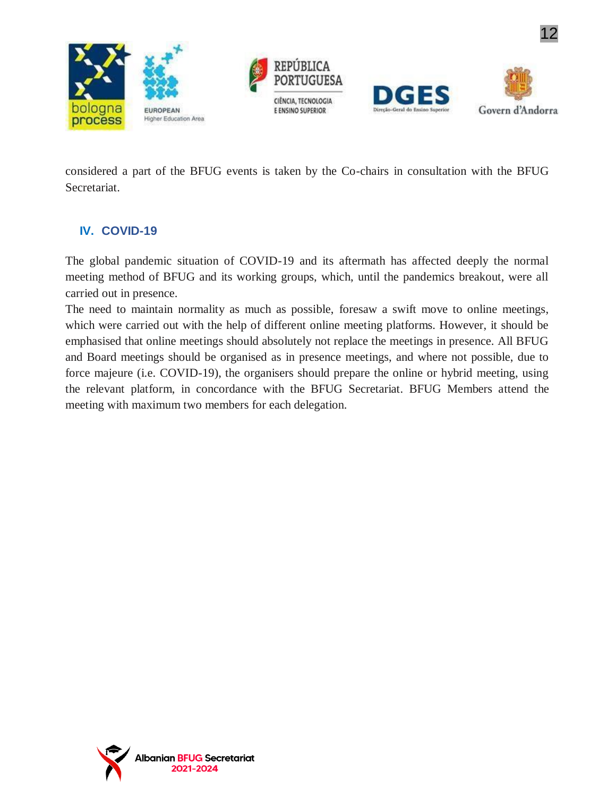







considered a part of the BFUG events is taken by the Co-chairs in consultation with the BFUG Secretariat.

## **IV. COVID-19**

The global pandemic situation of COVID-19 and its aftermath has affected deeply the normal meeting method of BFUG and its working groups, which, until the pandemics breakout, were all carried out in presence.

The need to maintain normality as much as possible, foresaw a swift move to online meetings, which were carried out with the help of different online meeting platforms. However, it should be emphasised that online meetings should absolutely not replace the meetings in presence. All BFUG and Board meetings should be organised as in presence meetings, and where not possible, due to force majeure (i.e. COVID-19), the organisers should prepare the online or hybrid meeting, using the relevant platform, in concordance with the BFUG Secretariat. BFUG Members attend the meeting with maximum two members for each delegation.

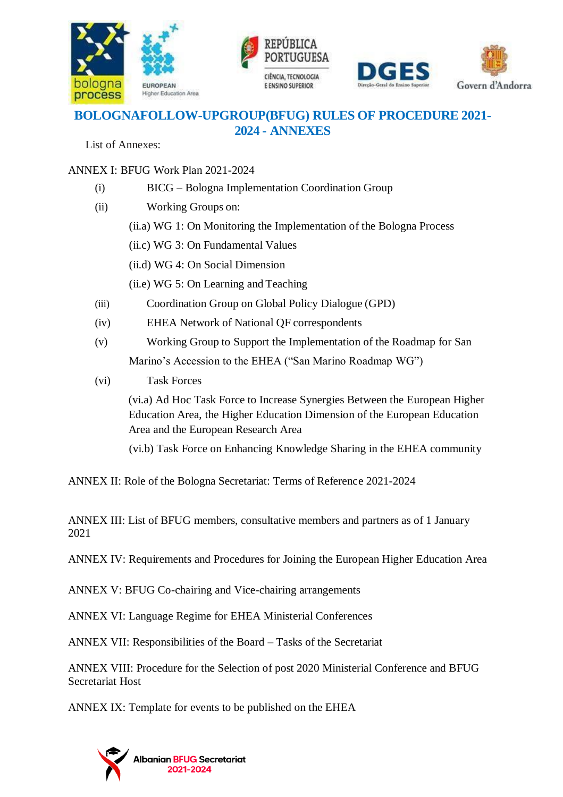





## **BOLOGNAFOLLOW-UPGROUP(BFUG) RULES OF PROCEDURE 2021- 2024 - ANNEXES**

List of Annexes:

ANNEX I: BFUG Work Plan 2021-2024

- (i) BICG Bologna Implementation Coordination Group
- (ii) Working Groups on:
	- (ii.a) WG 1: On Monitoring the Implementation of the Bologna Process
	- (ii.c) WG 3: On Fundamental Values
	- (ii.d) WG 4: On Social Dimension
	- (ii.e) WG 5: On Learning and Teaching
- (iii) Coordination Group on Global Policy Dialogue (GPD)
- (iv) EHEA Network of National QF correspondents
- (v) Working Group to Support the Implementation of the Roadmap for San Marino's Accession to the EHEA ("San Marino Roadmap WG")
- (vi) Task Forces

(vi.a) Ad Hoc Task Force to Increase Synergies Between the European Higher Education Area, the Higher Education Dimension of the European Education Area and the European Research Area

(vi.b) Task Force on Enhancing Knowledge Sharing in the EHEA community

ANNEX II: Role of the Bologna Secretariat: Terms of Reference 2021-2024

ANNEX III: List of BFUG members, consultative members and partners as of 1 January 2021

ANNEX IV: Requirements and Procedures for Joining the European Higher Education Area

ANNEX V: BFUG Co-chairing and Vice-chairing arrangements

ANNEX VI: Language Regime for EHEA Ministerial Conferences

ANNEX VII: Responsibilities of the Board – Tasks of the Secretariat

ANNEX VIII: Procedure for the Selection of post 2020 Ministerial Conference and BFUG Secretariat Host

ANNEX IX: Template for events to be published on the EHEA